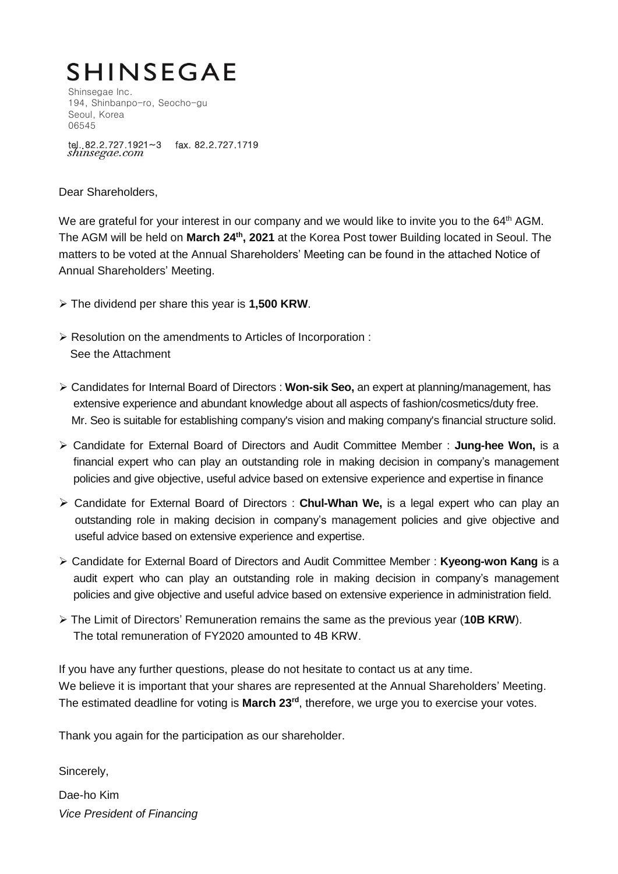# **SHINSEGAE**

Shinsegae Inc. 194, Shinbanpo-ro, Seocho-gu Seoul, Korea 06545

tel. 82.2.727.1921~3 fax. 82.2.727.1719<br>shinsegae.com

Dear Shareholders,

We are grateful for your interest in our company and we would like to invite you to the 64<sup>th</sup> AGM. The AGM will be held on **March 24 th, 2021** at the Korea Post tower Building located in Seoul. The matters to be voted at the Annual Shareholders' Meeting can be found in the attached Notice of Annual Shareholders' Meeting.

- The dividend per share this year is **1,500 KRW**.
- Resolution on the amendments to Articles of Incorporation : See the Attachment
- Candidates for Internal Board of Directors : **Won-sik Seo,** an expert at planning/management, has extensive experience and abundant knowledge about all aspects of fashion/cosmetics/duty free. Mr. Seo is suitable for establishing company's vision and making company's financial structure solid.
- Candidate for External Board of Directors and Audit Committee Member : **Jung-hee Won,** is a financial expert who can play an outstanding role in making decision in company's management policies and give objective, useful advice based on extensive experience and expertise in finance
- Candidate for External Board of Directors : **Chul-Whan We,** is a legal expert who can play an outstanding role in making decision in company's management policies and give objective and useful advice based on extensive experience and expertise.
- Candidate for External Board of Directors and Audit Committee Member : **Kyeong-won Kang** is a audit expert who can play an outstanding role in making decision in company's management policies and give objective and useful advice based on extensive experience in administration field.
- The Limit of Directors' Remuneration remains the same as the previous year (**10B KRW**). The total remuneration of FY2020 amounted to 4B KRW.

If you have any further questions, please do not hesitate to contact us at any time. We believe it is important that your shares are represented at the Annual Shareholders' Meeting. The estimated deadline for voting is **March 23 rd**, therefore, we urge you to exercise your votes.

Thank you again for the participation as our shareholder.

Sincerely,

Dae-ho Kim *Vice President of Financing*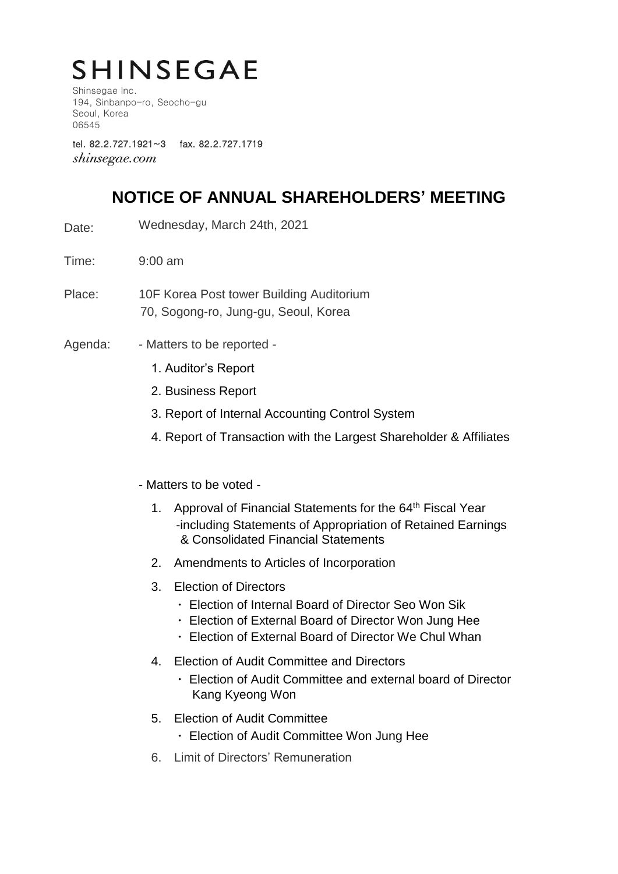# **SHINSEGAE**

Shinsegae Inc. 194, Sinbanpo-ro, Seocho-gu Seoul, Korea 06545

tel. 82.2.727.1921~3 fax. 82.2.727.1719 *shinsegae.com* 

## **NOTICE OF ANNUAL SHAREHOLDERS' MEETING**

- Date: Wednesday, March 24th, 2021
- Time: 9:00 am
- Place: 10F Korea Post tower Building Auditorium 70, Sogong-ro, Jung-gu, Seoul, Korea
- Agenda: Matters to be reported -
	- 1. Auditor's Report
	- 2. Business Report
	- 3. Report of Internal Accounting Control System
	- 4. Report of Transaction with the Largest Shareholder & Affiliates
	- Matters to be voted
		- 1. Approval of Financial Statements for the 64<sup>th</sup> Fiscal Year -including Statements of Appropriation of Retained Earnings & Consolidated Financial Statements
		- 2. Amendments to Articles of Incorporation
		- 3. Election of Directors
			- ㆍ Election of Internal Board of Director Seo Won Sik
			- ㆍ Election of External Board of Director Won Jung Hee
			- ㆍ Election of External Board of Director We Chul Whan
		- 4. Election of Audit Committee and Directors
			- ㆍ Election of Audit Committee and external board of Director Kang Kyeong Won
		- 5. Election of Audit Committee
			- Election of Audit Committee Won Jung Hee
		- 6. Limit of Directors' Remuneration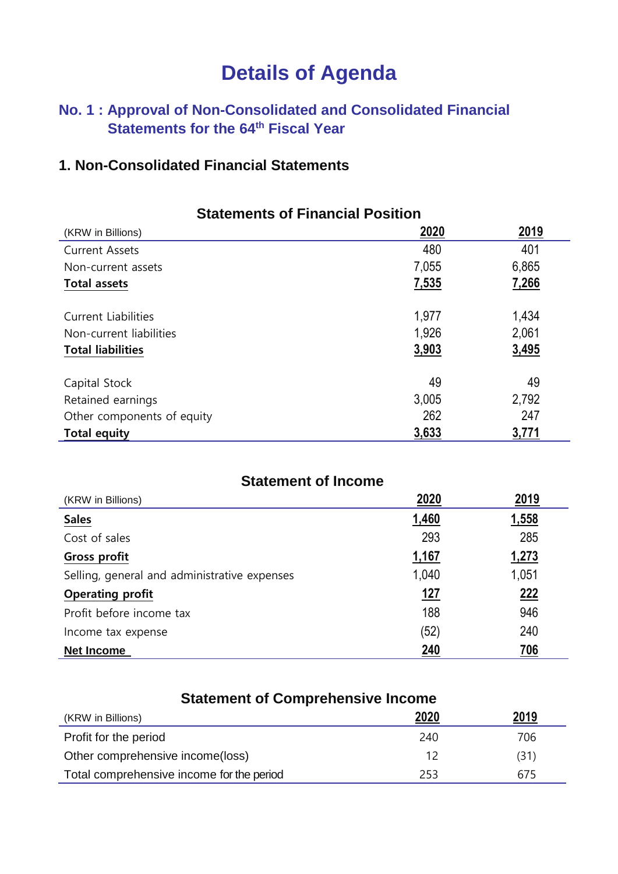## **Details of Agenda**

## **No. 1 : Approval of Non-Consolidated and Consolidated Financial Statements for the 64 th Fiscal Year**

## **1. Non-Consolidated Financial Statements**

| <b>Statements of Financial Position</b> |       |             |
|-----------------------------------------|-------|-------------|
| (KRW in Billions)                       | 2020  | <u>2019</u> |
| <b>Current Assets</b>                   | 480   | 401         |
| Non-current assets                      | 7,055 | 6,865       |
| <b>Total assets</b>                     | 7,535 | 7,266       |
| <b>Current Liabilities</b>              | 1,977 | 1,434       |
| Non-current liabilities                 | 1,926 | 2,061       |
| <b>Total liabilities</b>                | 3,903 | 3,495       |
| Capital Stock                           | 49    | 49          |
| Retained earnings                       | 3,005 | 2,792       |
| Other components of equity              | 262   | 247         |
| 3,633<br>3,771<br><b>Total equity</b>   |       |             |

| <b>Statement of Income</b>                   |              |       |
|----------------------------------------------|--------------|-------|
| (KRW in Billions)                            | 2020         | 2019  |
| <b>Sales</b>                                 | 1,460        | 1,558 |
| Cost of sales                                | 293          | 285   |
| <b>Gross profit</b>                          | <u>1,167</u> | 1,273 |
| Selling, general and administrative expenses | 1,040        | 1,051 |
| <b>Operating profit</b>                      | <u> 127</u>  | 222   |
| Profit before income tax                     | 188          | 946   |
| Income tax expense                           | (52)         | 240   |
| <b>Net Income</b>                            | 240          | 706   |

| <b>Statement of Comprehensive Income</b>         |      |      |
|--------------------------------------------------|------|------|
| (KRW in Billions)                                | 2020 | 2019 |
| Profit for the period                            | 240  | 706  |
| Other comprehensive income(loss)                 | 12   | (31) |
| Total comprehensive income for the period<br>253 |      | 675  |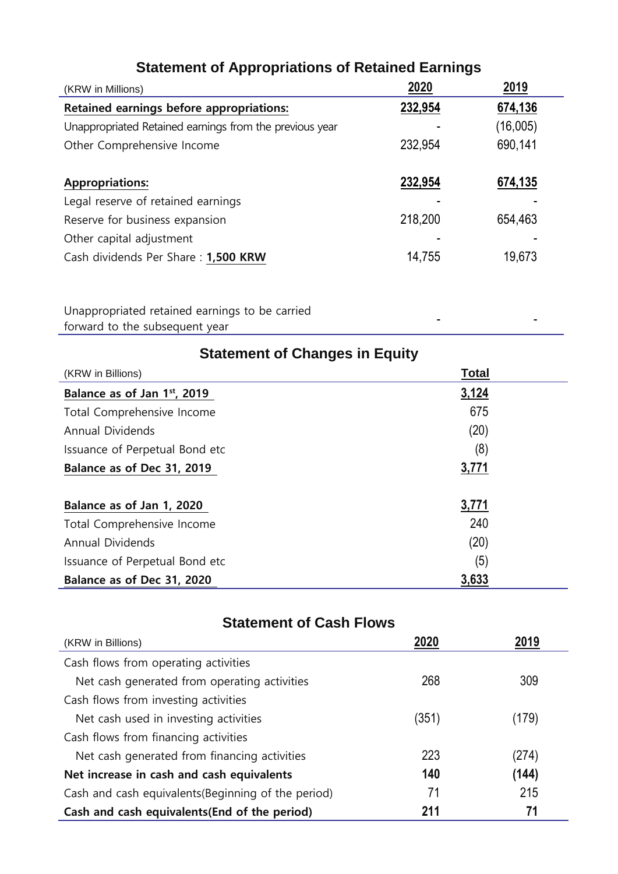| (KRW in Millions)                                       | 2020    | 2019     |
|---------------------------------------------------------|---------|----------|
| Retained earnings before appropriations:                | 232,954 | 674,136  |
| Unappropriated Retained earnings from the previous year |         | (16,005) |
| Other Comprehensive Income                              | 232,954 | 690,141  |
|                                                         |         |          |
| <b>Appropriations:</b>                                  | 232,954 | 674,135  |
| Legal reserve of retained earnings                      |         |          |
| 218,200<br>Reserve for business expansion               |         | 654,463  |
| Other capital adjustment                                |         |          |
| Cash dividends Per Share: 1,500 KRW                     | 14,755  | 19,673   |

## **Statement of Appropriations of Retained Earnings**

Unappropriated retained earnings to be carried forward to the subsequent year - -

| <b>Statement of Changes in Equity</b> |              |  |
|---------------------------------------|--------------|--|
| (KRW in Billions)                     | <b>Total</b> |  |
| Balance as of Jan 1st, 2019           | 3,124        |  |
| Total Comprehensive Income            | 675          |  |
| <b>Annual Dividends</b>               | (20)         |  |
| Issuance of Perpetual Bond etc        | (8)          |  |
| Balance as of Dec 31, 2019            | 3,771        |  |
|                                       |              |  |
| Balance as of Jan 1, 2020             | 3,771        |  |
| Total Comprehensive Income            | 240          |  |
| <b>Annual Dividends</b>               | (20)         |  |
| Issuance of Perpetual Bond etc        | (5)          |  |
| Balance as of Dec 31, 2020            | 3,633        |  |

## **Statement of Cash Flows**

| (KRW in Billions)                                    | 2020 | 2019  |
|------------------------------------------------------|------|-------|
| Cash flows from operating activities                 |      |       |
| 268<br>Net cash generated from operating activities  |      | 309   |
| Cash flows from investing activities                 |      |       |
| (351)<br>Net cash used in investing activities       |      | 179)  |
| Cash flows from financing activities                 |      |       |
| Net cash generated from financing activities         | 223  | (274) |
| Net increase in cash and cash equivalents            | 140  | (144) |
| Cash and cash equivalents (Beginning of the period)  | 71   | 215   |
| 211<br>Cash and cash equivalents (End of the period) |      | 71    |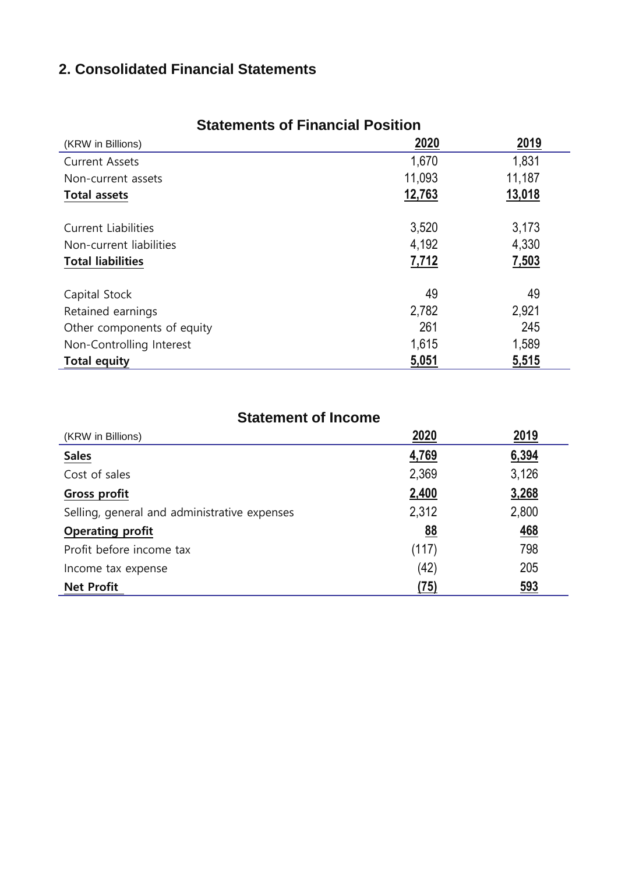## **2. Consolidated Financial Statements**

| (KRW in Billions)          | 2020   | 2019   |
|----------------------------|--------|--------|
| <b>Current Assets</b>      | 1,670  | 1,831  |
| Non-current assets         | 11,093 | 11,187 |
| <b>Total assets</b>        | 12,763 | 13,018 |
| <b>Current Liabilities</b> | 3,520  | 3,173  |
| Non-current liabilities    | 4,192  | 4,330  |
| <b>Total liabilities</b>   | 7,712  | 7,503  |
| Capital Stock              | 49     | 49     |
| Retained earnings          | 2,782  | 2,921  |
| Other components of equity | 261    | 245    |
| Non-Controlling Interest   | 1,615  | 1,589  |
| <b>Total equity</b>        | 5,051  | 5,515  |

## **Statements of Financial Position**

### **Statement of Income**

| (KRW in Billions)                            | 2020  | 2019       |
|----------------------------------------------|-------|------------|
| <b>Sales</b>                                 | 4,769 | 6,394      |
| Cost of sales                                | 2,369 | 3,126      |
| <b>Gross profit</b>                          | 2,400 | 3,268      |
| Selling, general and administrative expenses | 2,312 | 2,800      |
| <b>Operating profit</b>                      | 88    | <u>468</u> |
| Profit before income tax                     | (117) | 798        |
| Income tax expense                           | (42)  | 205        |
| <b>Net Profit</b>                            | (75)  | <u>593</u> |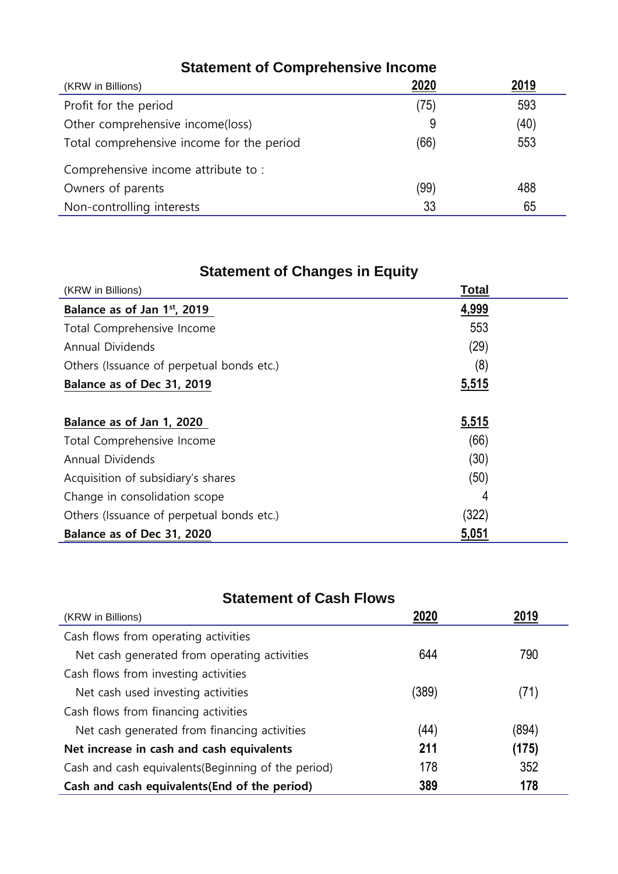| <b>Statement of Comprehensive Income</b>  |      |      |
|-------------------------------------------|------|------|
| (KRW in Billions)                         | 2020 | 2019 |
| Profit for the period                     | (75) | 593  |
| Other comprehensive income(loss)          | 9    | (40) |
| Total comprehensive income for the period | (66) | 553  |
| Comprehensive income attribute to:        |      |      |
| Owners of parents                         | (99) | 488  |
| Non-controlling interests                 | 33   | 65   |

## **Statement of Changes in Equity**

| (KRW in Billions)                         | <b>Total</b> |
|-------------------------------------------|--------------|
| Balance as of Jan 1st, 2019               | 4,999        |
| Total Comprehensive Income                | 553          |
| Annual Dividends                          | (29)         |
| Others (Issuance of perpetual bonds etc.) | (8)          |
| Balance as of Dec 31, 2019                | 5,515        |
|                                           |              |
| Balance as of Jan 1, 2020                 | 5,515        |
| Total Comprehensive Income                | (66)         |
| Annual Dividends                          | (30)         |
| Acquisition of subsidiary's shares        | (50)         |
| Change in consolidation scope             | 4            |
| Others (Issuance of perpetual bonds etc.) | (322)        |
| Balance as of Dec 31, 2020                | <u>5,051</u> |

## **Statement of Cash Flows**

| (KRW in Billions)                                   |            |       |
|-----------------------------------------------------|------------|-------|
| Cash flows from operating activities                |            |       |
| 644<br>Net cash generated from operating activities |            | 790   |
| Cash flows from investing activities                |            |       |
| (389)<br>Net cash used investing activities         |            | (71)  |
| Cash flows from financing activities                |            |       |
| Net cash generated from financing activities        | (44)       | (894) |
| Net increase in cash and cash equivalents           | 211        | (175) |
| Cash and cash equivalents (Beginning of the period) | 178        | 352   |
| Cash and cash equivalents (End of the period)       | 389<br>178 |       |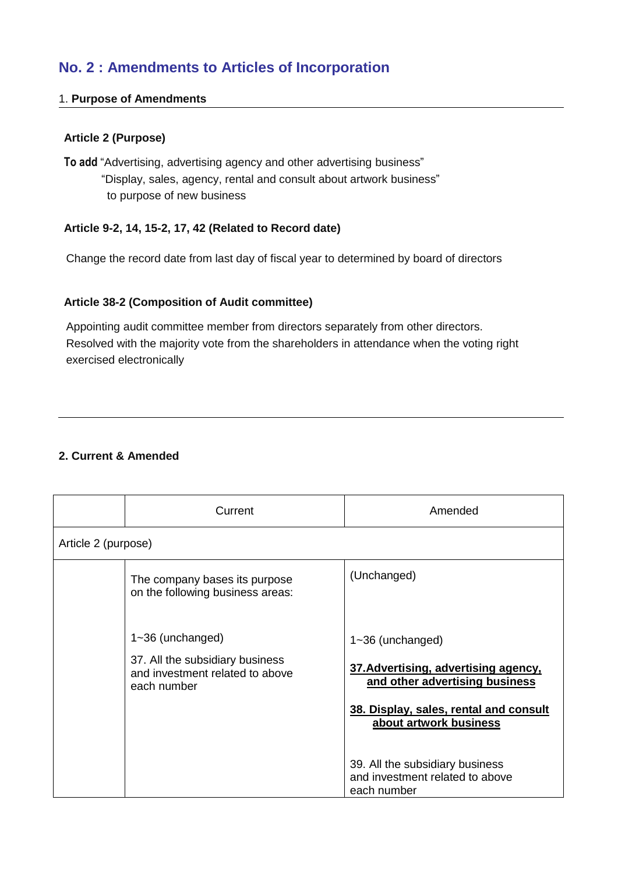## **No. 2 : Amendments to Articles of Incorporation**

#### 1. **Purpose of Amendments**

#### **Article 2 (Purpose)**

**To add** "Advertising, advertising agency and other advertising business" "Display, sales, agency, rental and consult about artwork business" to purpose of new business

#### **Article 9-2, 14, 15-2, 17, 42 (Related to Record date)**

Change the record date from last day of fiscal year to determined by board of directors

#### **Article 38-2 (Composition of Audit committee)**

Appointing audit committee member from directors separately from other directors. Resolved with the majority vote from the shareholders in attendance when the voting right exercised electronically

#### **2. Current & Amended**

|                     | Current                                                                                                   | Amended                                                                                                                                                            |
|---------------------|-----------------------------------------------------------------------------------------------------------|--------------------------------------------------------------------------------------------------------------------------------------------------------------------|
| Article 2 (purpose) |                                                                                                           |                                                                                                                                                                    |
|                     | The company bases its purpose<br>on the following business areas:                                         | (Unchanged)                                                                                                                                                        |
|                     | $1 - 36$ (unchanged)<br>37. All the subsidiary business<br>and investment related to above<br>each number | $1 - 36$ (unchanged)<br>37. Advertising, advertising agency,<br>and other advertising business<br>38. Display, sales, rental and consult<br>about artwork business |
|                     |                                                                                                           | 39. All the subsidiary business<br>and investment related to above<br>each number                                                                                  |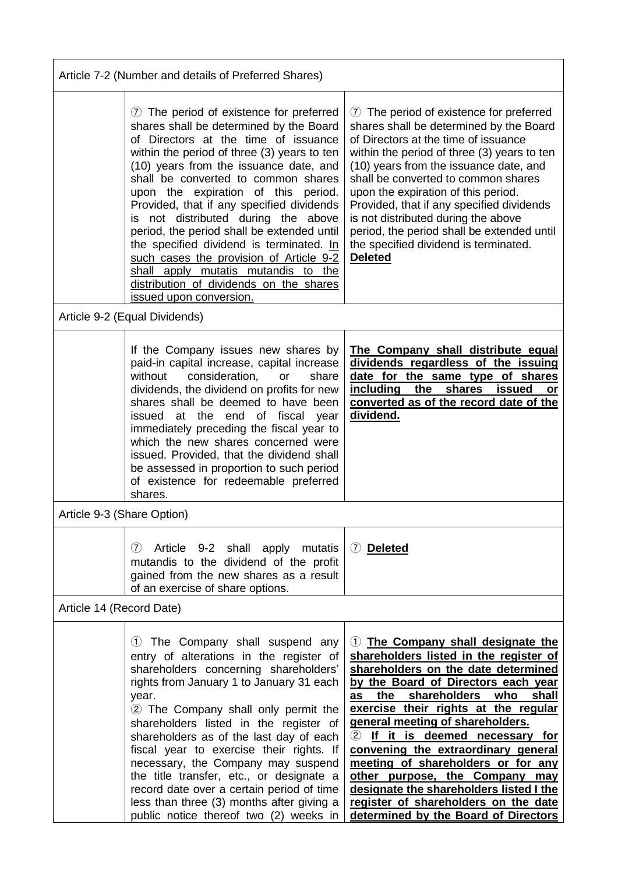| Article 7-2 (Number and details of Preferred Shares) |                                                                                                                                                                                                                                                                                                                                                                                                                                                                                                                                                                                                                                          |                                                                                                                                                                                                                                                                                                                                                                                                                                                                                                                                                                    |
|------------------------------------------------------|------------------------------------------------------------------------------------------------------------------------------------------------------------------------------------------------------------------------------------------------------------------------------------------------------------------------------------------------------------------------------------------------------------------------------------------------------------------------------------------------------------------------------------------------------------------------------------------------------------------------------------------|--------------------------------------------------------------------------------------------------------------------------------------------------------------------------------------------------------------------------------------------------------------------------------------------------------------------------------------------------------------------------------------------------------------------------------------------------------------------------------------------------------------------------------------------------------------------|
|                                                      | 7) The period of existence for preferred<br>shares shall be determined by the Board<br>of Directors at the time of issuance<br>within the period of three (3) years to ten<br>(10) years from the issuance date, and<br>shall be converted to common shares<br>upon the expiration of this period.<br>Provided, that if any specified dividends<br>is not distributed during the above<br>period, the period shall be extended until<br>the specified dividend is terminated. In<br>such cases the provision of Article 9-2<br>shall apply mutatis mutandis to the<br>distribution of dividends on the shares<br>issued upon conversion. | 7 The period of existence for preferred<br>shares shall be determined by the Board<br>of Directors at the time of issuance<br>within the period of three (3) years to ten<br>(10) years from the issuance date, and<br>shall be converted to common shares<br>upon the expiration of this period.<br>Provided, that if any specified dividends<br>is not distributed during the above<br>period, the period shall be extended until<br>the specified dividend is terminated.<br><b>Deleted</b>                                                                     |
|                                                      | Article 9-2 (Equal Dividends)                                                                                                                                                                                                                                                                                                                                                                                                                                                                                                                                                                                                            |                                                                                                                                                                                                                                                                                                                                                                                                                                                                                                                                                                    |
|                                                      | If the Company issues new shares by<br>paid-in capital increase, capital increase<br>consideration,<br>without<br>share<br>or<br>dividends, the dividend on profits for new<br>shares shall be deemed to have been<br>issued at the end of fiscal<br>year<br>immediately preceding the fiscal year to<br>which the new shares concerned were<br>issued. Provided, that the dividend shall<br>be assessed in proportion to such period<br>of existence for redeemable preferred<br>shares.                                                                                                                                                | The Company shall distribute equal<br>dividends regardless of the issuing<br>date for the same type of shares<br>including<br>shares<br>the<br><b>issued</b><br>or<br>converted as of the record date of the<br>dividend.                                                                                                                                                                                                                                                                                                                                          |
| Article 9-3 (Share Option)                           |                                                                                                                                                                                                                                                                                                                                                                                                                                                                                                                                                                                                                                          |                                                                                                                                                                                                                                                                                                                                                                                                                                                                                                                                                                    |
|                                                      | (7)<br>Article 9-2 shall apply mutatis<br>mutandis to the dividend of the profit<br>gained from the new shares as a result<br>of an exercise of share options.                                                                                                                                                                                                                                                                                                                                                                                                                                                                           | 7 Deleted                                                                                                                                                                                                                                                                                                                                                                                                                                                                                                                                                          |
| Article 14 (Record Date)                             |                                                                                                                                                                                                                                                                                                                                                                                                                                                                                                                                                                                                                                          |                                                                                                                                                                                                                                                                                                                                                                                                                                                                                                                                                                    |
|                                                      | 1) The Company shall suspend any<br>entry of alterations in the register of<br>shareholders concerning shareholders'<br>rights from January 1 to January 31 each<br>year.<br>2 The Company shall only permit the<br>shareholders listed in the register of<br>shareholders as of the last day of each<br>fiscal year to exercise their rights. If<br>necessary, the Company may suspend<br>the title transfer, etc., or designate a<br>record date over a certain period of time<br>less than three (3) months after giving a<br>public notice thereof two (2) weeks in                                                                  | 1) The Company shall designate the<br>shareholders listed in the register of<br>shareholders on the date determined<br>by the Board of Directors each year<br>shareholders who<br>shall<br>as<br>the<br>exercise their rights at the regular<br>general meeting of shareholders.<br>If it is deemed necessary for<br>(2)<br>convening the extraordinary general<br>meeting of shareholders or for any<br>other purpose, the Company may<br>designate the shareholders listed I the<br>register of shareholders on the date<br>determined by the Board of Directors |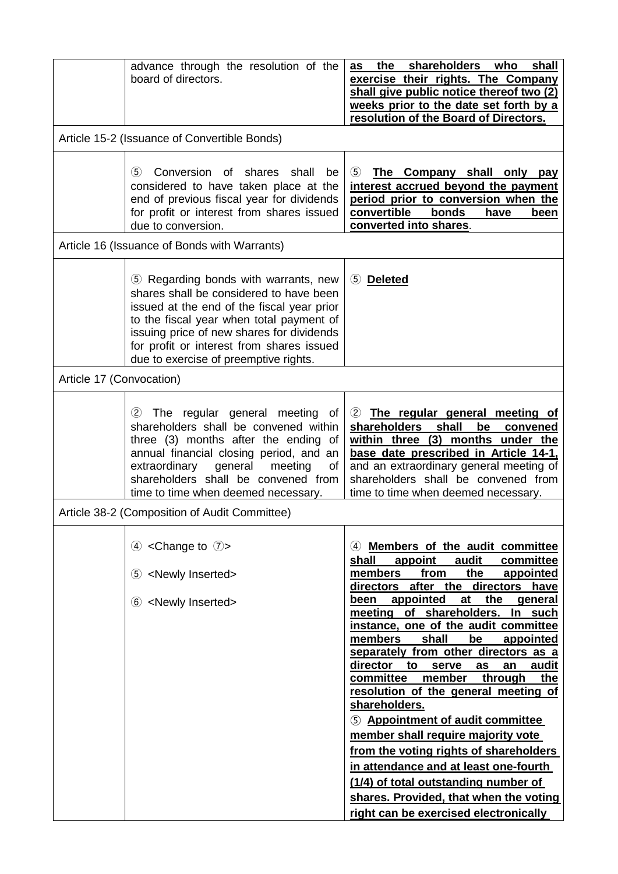|                          | advance through the resolution of the<br>board of directors.                                                                                                                                                                                                                                                 | the shareholders who shall<br>as<br>exercise their rights. The Company<br>shall give public notice thereof two (2)<br>weeks prior to the date set forth by a<br>resolution of the Board of Directors.                                                                                                                                                                                                                                                                                                                                                                                                                                                                                                                                                                                                                         |
|--------------------------|--------------------------------------------------------------------------------------------------------------------------------------------------------------------------------------------------------------------------------------------------------------------------------------------------------------|-------------------------------------------------------------------------------------------------------------------------------------------------------------------------------------------------------------------------------------------------------------------------------------------------------------------------------------------------------------------------------------------------------------------------------------------------------------------------------------------------------------------------------------------------------------------------------------------------------------------------------------------------------------------------------------------------------------------------------------------------------------------------------------------------------------------------------|
|                          | Article 15-2 (Issuance of Convertible Bonds)                                                                                                                                                                                                                                                                 |                                                                                                                                                                                                                                                                                                                                                                                                                                                                                                                                                                                                                                                                                                                                                                                                                               |
|                          | Conversion of shares shall<br>(5)<br>be<br>considered to have taken place at the<br>end of previous fiscal year for dividends<br>for profit or interest from shares issued<br>due to conversion.                                                                                                             | $\circled{5}$<br>The Company shall only pay<br>interest accrued beyond the payment<br>period prior to conversion when the<br>bonds<br>convertible<br>have<br>been<br>converted into shares.                                                                                                                                                                                                                                                                                                                                                                                                                                                                                                                                                                                                                                   |
|                          | Article 16 (Issuance of Bonds with Warrants)                                                                                                                                                                                                                                                                 |                                                                                                                                                                                                                                                                                                                                                                                                                                                                                                                                                                                                                                                                                                                                                                                                                               |
|                          | 5 Regarding bonds with warrants, new<br>shares shall be considered to have been<br>issued at the end of the fiscal year prior<br>to the fiscal year when total payment of<br>issuing price of new shares for dividends<br>for profit or interest from shares issued<br>due to exercise of preemptive rights. | 5 Deleted                                                                                                                                                                                                                                                                                                                                                                                                                                                                                                                                                                                                                                                                                                                                                                                                                     |
| Article 17 (Convocation) |                                                                                                                                                                                                                                                                                                              |                                                                                                                                                                                                                                                                                                                                                                                                                                                                                                                                                                                                                                                                                                                                                                                                                               |
|                          | The regular general meeting<br>(2)<br>of<br>shareholders shall be convened within<br>three (3) months after the ending of<br>annual financial closing period, and an<br>extraordinary<br>general<br>meeting<br>οf<br>shareholders shall be convened from<br>time to time when deemed necessary.              | The regular general meeting of<br>(2)<br>shareholders shall<br>be<br>convened<br>within three (3) months under the<br>base date prescribed in Article 14-1,<br>and an extraordinary general meeting of<br>shareholders shall be convened from<br>time to time when deemed necessary.                                                                                                                                                                                                                                                                                                                                                                                                                                                                                                                                          |
|                          | Article 38-2 (Composition of Audit Committee)                                                                                                                                                                                                                                                                |                                                                                                                                                                                                                                                                                                                                                                                                                                                                                                                                                                                                                                                                                                                                                                                                                               |
|                          | <change <math="" to="">\oslash&gt;<br/>(4)<br/><newly inserted=""><br/>(5)<br/>6 <newly inserted=""></newly></newly></change>                                                                                                                                                                                | Members of the audit committee<br>(4)<br>audit<br>shall<br>appoint<br>committee<br>members<br>the<br>from<br>appointed<br>directors<br>after the<br>directors<br>have<br>appointed<br>at<br>the<br>been<br>general<br>of shareholders.<br>meeting<br>In such<br>instance, one of the audit committee<br>members<br>shall<br>be<br>appointed<br>separately from other directors as a<br>director<br>audit<br>to<br>serve<br>as<br>an<br>committee<br>through<br>member<br>the<br>resolution of the general meeting of<br>shareholders.<br>5 Appointment of audit committee<br>member shall require majority vote<br>from the voting rights of shareholders<br>in attendance and at least one-fourth<br>(1/4) of total outstanding number of<br>shares. Provided, that when the voting<br>right can be exercised electronically |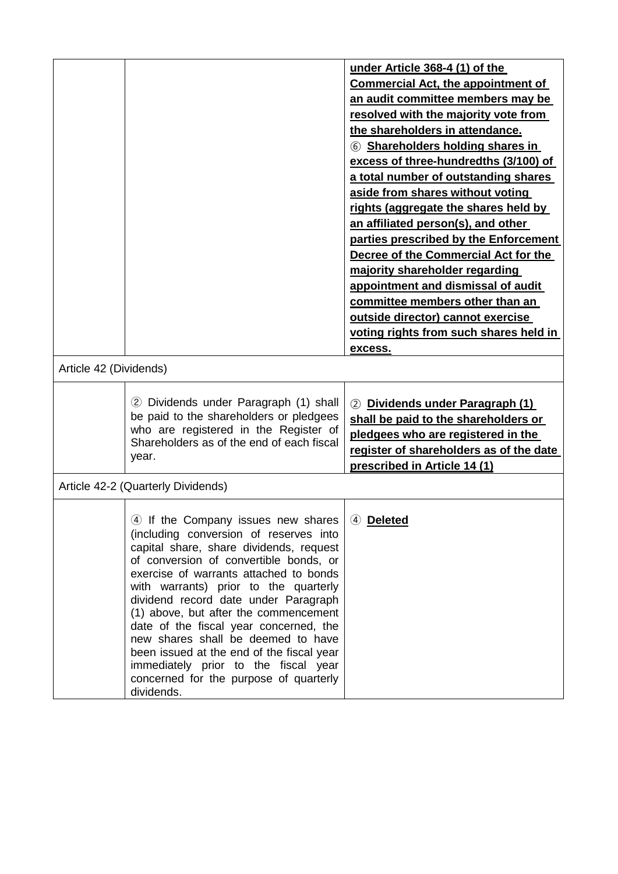|                        |                                                                                    | under Article 368-4 (1) of the            |
|------------------------|------------------------------------------------------------------------------------|-------------------------------------------|
|                        |                                                                                    | <b>Commercial Act, the appointment of</b> |
|                        |                                                                                    | an audit committee members may be         |
|                        |                                                                                    | resolved with the majority vote from      |
|                        |                                                                                    | the shareholders in attendance.           |
|                        |                                                                                    | 6 Shareholders holding shares in          |
|                        |                                                                                    | excess of three-hundredths (3/100) of     |
|                        |                                                                                    | a total number of outstanding shares      |
|                        |                                                                                    | aside from shares without voting          |
|                        |                                                                                    | rights (aggregate the shares held by      |
|                        |                                                                                    | an affiliated person(s), and other        |
|                        |                                                                                    | parties prescribed by the Enforcement     |
|                        |                                                                                    | Decree of the Commercial Act for the      |
|                        |                                                                                    | majority shareholder regarding            |
|                        |                                                                                    | appointment and dismissal of audit        |
|                        |                                                                                    | committee members other than an           |
|                        |                                                                                    |                                           |
|                        |                                                                                    | outside director) cannot exercise         |
|                        |                                                                                    | voting rights from such shares held in    |
|                        |                                                                                    | excess.                                   |
| Article 42 (Dividends) |                                                                                    |                                           |
|                        |                                                                                    |                                           |
|                        | 2 Dividends under Paragraph (1) shall                                              | Dividends under Paragraph (1)<br>(2)      |
|                        | be paid to the shareholders or pledgees                                            | shall be paid to the shareholders or      |
|                        | who are registered in the Register of<br>Shareholders as of the end of each fiscal | pledgees who are registered in the        |
|                        | year.                                                                              | register of shareholders as of the date   |
|                        |                                                                                    | prescribed in Article 14 (1)              |
|                        | Article 42-2 (Quarterly Dividends)                                                 |                                           |
|                        |                                                                                    |                                           |
|                        | 4 If the Company issues new shares   4 Deleted                                     |                                           |
|                        | (including conversion of reserves into                                             |                                           |
|                        | capital share, share dividends, request                                            |                                           |
|                        | of conversion of convertible bonds, or                                             |                                           |
|                        | exercise of warrants attached to bonds<br>with warrants) prior to the quarterly    |                                           |
|                        | dividend record date under Paragraph                                               |                                           |
|                        | (1) above, but after the commencement                                              |                                           |
|                        | date of the fiscal year concerned, the                                             |                                           |
|                        | new shares shall be deemed to have                                                 |                                           |
|                        | been issued at the end of the fiscal year                                          |                                           |
|                        |                                                                                    |                                           |
|                        | immediately prior to the fiscal year                                               |                                           |
|                        | concerned for the purpose of quarterly<br>dividends.                               |                                           |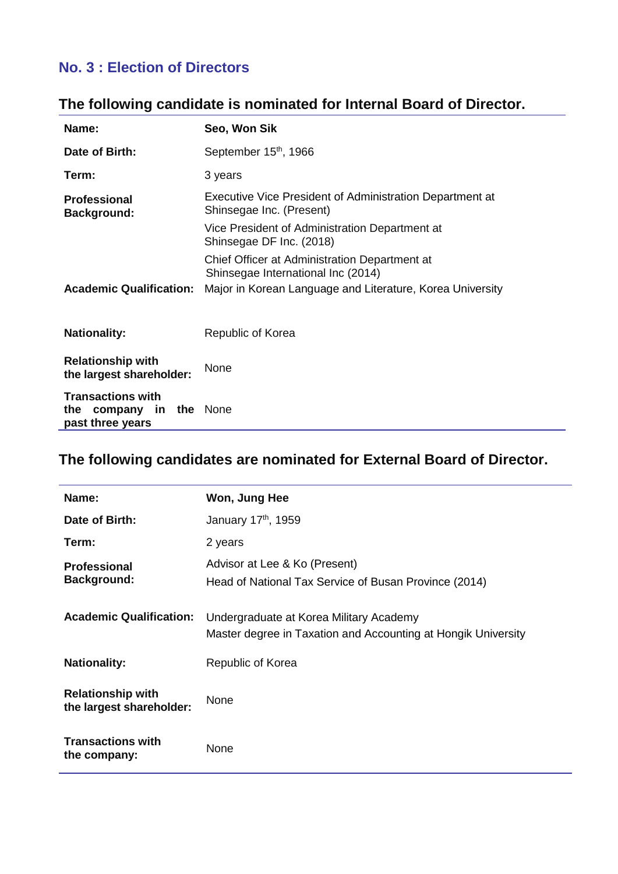## **No. 3 : Election of Directors**

## **The following candidate is nominated for Internal Board of Director.**

| Name:                                                                      | Seo, Won Sik                                                                         |
|----------------------------------------------------------------------------|--------------------------------------------------------------------------------------|
| Date of Birth:                                                             | September 15th, 1966                                                                 |
| Term:                                                                      | 3 years                                                                              |
| <b>Professional</b><br><b>Background:</b>                                  | Executive Vice President of Administration Department at<br>Shinsegae Inc. (Present) |
|                                                                            | Vice President of Administration Department at<br>Shinsegae DF Inc. (2018)           |
|                                                                            | Chief Officer at Administration Department at<br>Shinsegae International Inc (2014)  |
| <b>Academic Qualification:</b>                                             | Major in Korean Language and Literature, Korea University                            |
| <b>Nationality:</b>                                                        | Republic of Korea                                                                    |
| <b>Relationship with</b><br>the largest shareholder:                       | None                                                                                 |
| <b>Transactions with</b><br>company in the None<br>the<br>past three years |                                                                                      |

## **The following candidates are nominated for External Board of Director.**

| Name:                                                | Won, Jung Hee                                                                                            |
|------------------------------------------------------|----------------------------------------------------------------------------------------------------------|
| Date of Birth:                                       | January 17 <sup>th</sup> , 1959                                                                          |
| Term:                                                | 2 years                                                                                                  |
| <b>Professional</b>                                  | Advisor at Lee & Ko (Present)                                                                            |
| <b>Background:</b>                                   | Head of National Tax Service of Busan Province (2014)                                                    |
| <b>Academic Qualification:</b>                       | Undergraduate at Korea Military Academy<br>Master degree in Taxation and Accounting at Hongik University |
| <b>Nationality:</b>                                  | Republic of Korea                                                                                        |
| <b>Relationship with</b><br>the largest shareholder: | <b>None</b>                                                                                              |
| <b>Transactions with</b><br>the company:             | None                                                                                                     |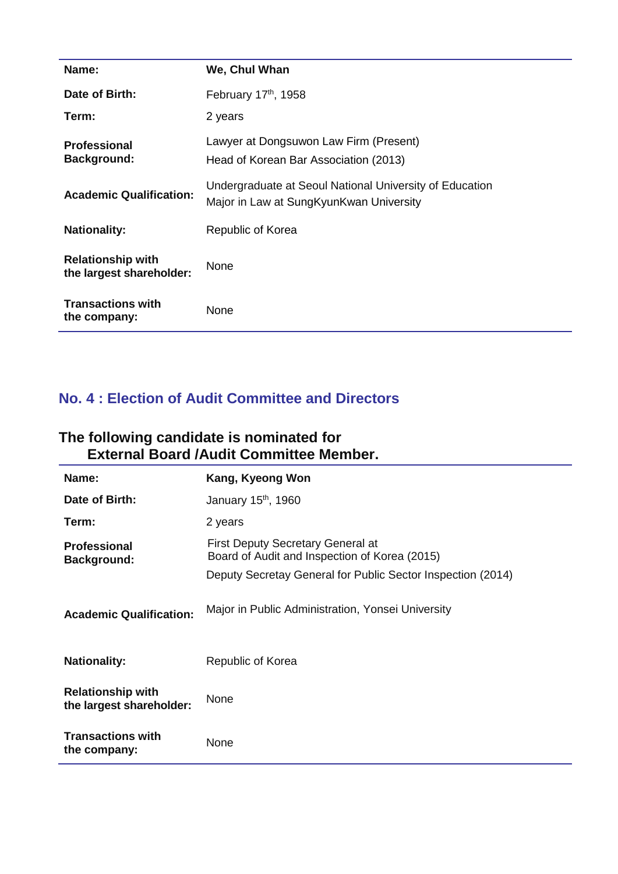| Name:                                                | We, Chul Whan                                                                                      |
|------------------------------------------------------|----------------------------------------------------------------------------------------------------|
| Date of Birth:                                       | February 17th, 1958                                                                                |
| Term:                                                | 2 years                                                                                            |
| <b>Professional</b><br><b>Background:</b>            | Lawyer at Dongsuwon Law Firm (Present)<br>Head of Korean Bar Association (2013)                    |
| <b>Academic Qualification:</b>                       | Undergraduate at Seoul National University of Education<br>Major in Law at SungKyunKwan University |
| <b>Nationality:</b>                                  | Republic of Korea                                                                                  |
| <b>Relationship with</b><br>the largest shareholder: | None                                                                                               |
| <b>Transactions with</b><br>the company:             | None                                                                                               |

## **No. 4 : Election of Audit Committee and Directors**

#### **The following candidate is nominated for External Board /Audit Committee Member.**

| Name:                                                | Kang, Kyeong Won                                                                          |
|------------------------------------------------------|-------------------------------------------------------------------------------------------|
| Date of Birth:                                       | January 15 <sup>th</sup> , 1960                                                           |
| Term:                                                | 2 years                                                                                   |
| <b>Professional</b><br><b>Background:</b>            | <b>First Deputy Secretary General at</b><br>Board of Audit and Inspection of Korea (2015) |
|                                                      | Deputy Secretay General for Public Sector Inspection (2014)                               |
| <b>Academic Qualification:</b>                       | Major in Public Administration, Yonsei University                                         |
| <b>Nationality:</b>                                  | Republic of Korea                                                                         |
| <b>Relationship with</b><br>the largest shareholder: | None                                                                                      |
| <b>Transactions with</b><br>the company:             | None                                                                                      |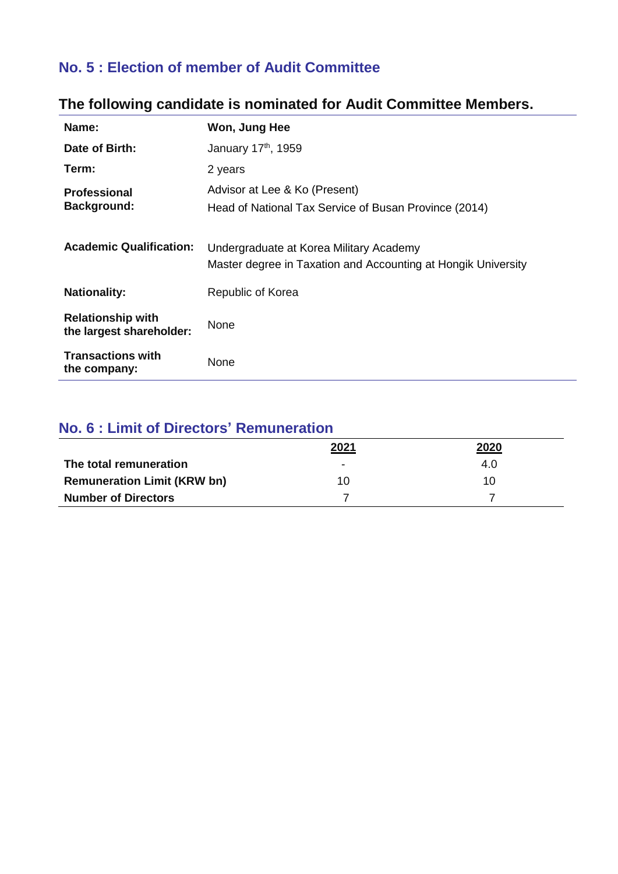## **No. 5 : Election of member of Audit Committee**

| Name:                                                | Won, Jung Hee                                                                                            |
|------------------------------------------------------|----------------------------------------------------------------------------------------------------------|
| Date of Birth:                                       | January 17th, 1959                                                                                       |
| Term:                                                | 2 years                                                                                                  |
| <b>Professional</b>                                  | Advisor at Lee & Ko (Present)                                                                            |
| <b>Background:</b>                                   | Head of National Tax Service of Busan Province (2014)                                                    |
| <b>Academic Qualification:</b>                       | Undergraduate at Korea Military Academy<br>Master degree in Taxation and Accounting at Hongik University |
| <b>Nationality:</b>                                  | Republic of Korea                                                                                        |
| <b>Relationship with</b><br>the largest shareholder: | None                                                                                                     |
| <b>Transactions with</b><br>the company:             | None                                                                                                     |

## **The following candidate is nominated for Audit Committee Members.**

## **No. 6 : Limit of Directors' Remuneration**

|                                    | 2021 | 2020 |
|------------------------------------|------|------|
| The total remuneration             | -    | 4.0  |
| <b>Remuneration Limit (KRW bn)</b> | 10   | 10   |
| <b>Number of Directors</b>         |      |      |